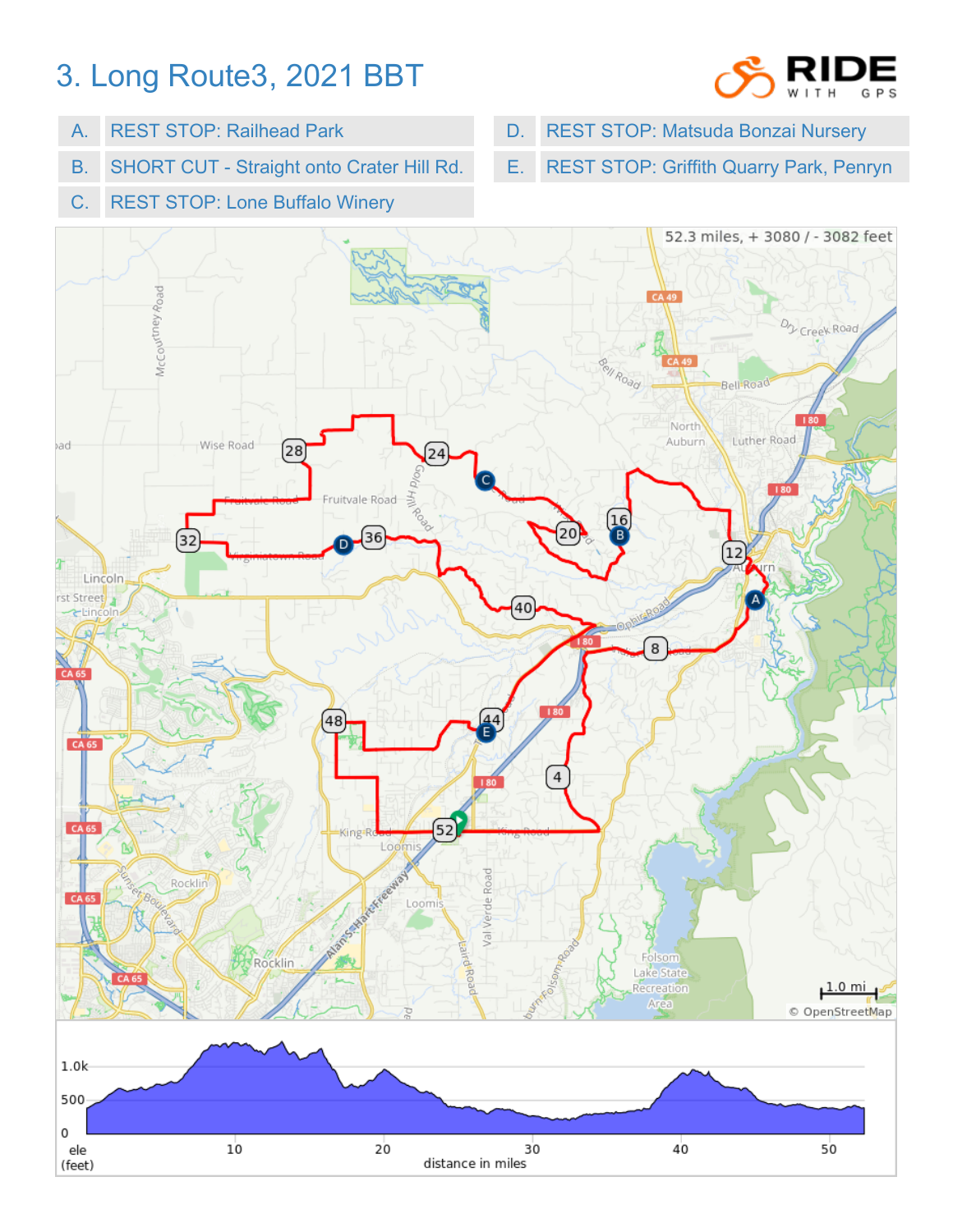## 3. Long Route3, 2021 BBT



- A. REST STOP: Railhead Park
- B. SHORT CUT Straight onto Crater Hill Rd.
- C. REST STOP: Lone Buffalo Winery
- D. REST STOP: Matsuda Bonzai Nursery
- E. REST STOP: Griffith Quarry Park, Penryn